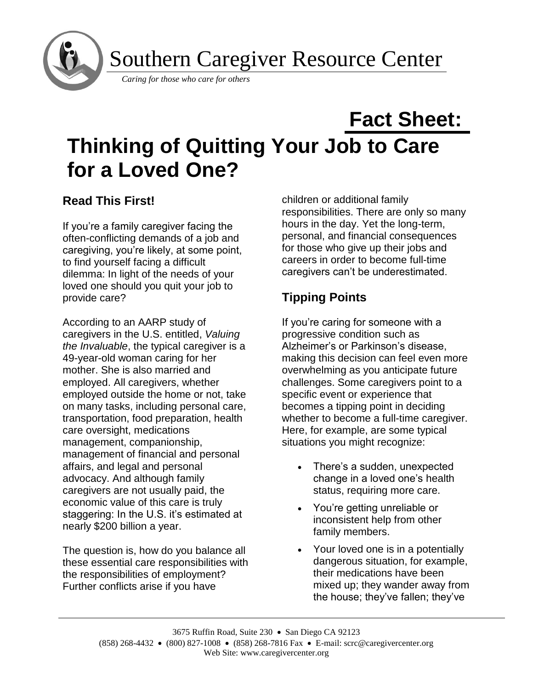

Southern Caregiver Resource Center

*Caring for those who care for others*

# **Fact Sheet: Thinking of Quitting Your Job to Care for a Loved One?**

## **Read This First!**

If you're a family caregiver facing the often-conflicting demands of a job and caregiving, you're likely, at some point, to find yourself facing a difficult dilemma: In light of the needs of your loved one should you quit your job to provide care?

According to an AARP study of caregivers in the U.S. entitled, *Valuing the Invaluable*, the typical caregiver is a 49-year-old woman caring for her mother. She is also married and employed. All caregivers, whether employed outside the home or not, take on many tasks, including personal care, transportation, food preparation, health care oversight, medications management, companionship, management of financial and personal affairs, and legal and personal advocacy. And although family caregivers are not usually paid, the economic value of this care is truly staggering: In the U.S. it's estimated at nearly \$200 billion a year.

The question is, how do you balance all these essential care responsibilities with the responsibilities of employment? Further conflicts arise if you have

children or additional family responsibilities. There are only so many hours in the day. Yet the long-term, personal, and financial consequences for those who give up their jobs and careers in order to become full-time caregivers can't be underestimated.

# **Tipping Points**

If you're caring for someone with a progressive condition such as Alzheimer's or Parkinson's disease, making this decision can feel even more overwhelming as you anticipate future challenges. Some caregivers point to a specific event or experience that becomes a tipping point in deciding whether to become a full-time caregiver. Here, for example, are some typical situations you might recognize:

- There's a sudden, unexpected change in a loved one's health status, requiring more care.
- You're getting unreliable or inconsistent help from other family members.
- Your loved one is in a potentially dangerous situation, for example, their medications have been mixed up; they wander away from the house; they've fallen; they've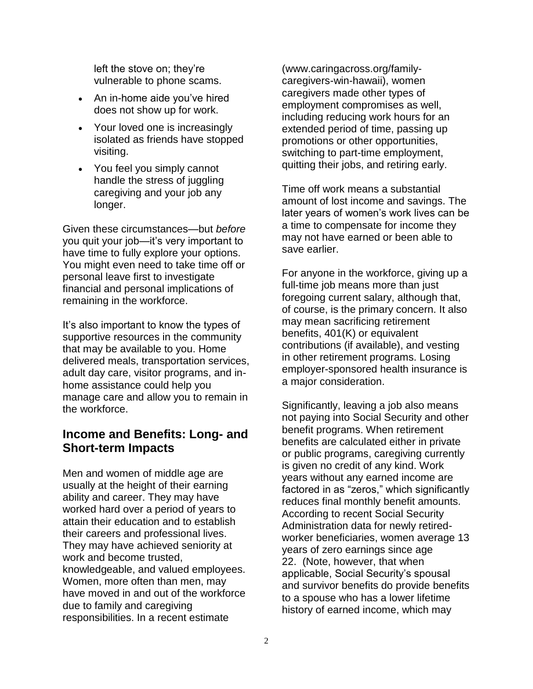left the stove on; they're vulnerable to phone scams.

- An in-home aide you've hired does not show up for work.
- Your loved one is increasingly isolated as friends have stopped visiting.
- You feel you simply cannot handle the stress of juggling caregiving and your job any longer.

Given these circumstances—but *before* you quit your job—it's very important to have time to fully explore your options. You might even need to take time off or personal leave first to investigate financial and personal implications of remaining in the workforce.

It's also important to know the types of supportive resources in the community that may be available to you. Home delivered meals, transportation services, adult day care, visitor programs, and inhome assistance could help you manage care and allow you to remain in the workforce.

#### **Income and Benefits: Long- and Short-term Impacts**

Men and women of middle age are usually at the height of their earning ability and career. They may have worked hard over a period of years to attain their education and to establish their careers and professional lives. They may have achieved seniority at work and become trusted, knowledgeable, and valued employees. Women, more often than men, may have moved in and out of the workforce due to family and caregiving responsibilities. In a recent estimate

(www.caringacross.org/familycaregivers-win-hawaii), women caregivers made other types of employment compromises as well, including reducing work hours for an extended period of time, passing up promotions or other opportunities, switching to part-time employment, quitting their jobs, and retiring early.

Time off work means a substantial amount of lost income and savings. The later years of women's work lives can be a time to compensate for income they may not have earned or been able to save earlier.

For anyone in the workforce, giving up a full-time job means more than just foregoing current salary, although that, of course, is the primary concern. It also may mean sacrificing retirement benefits, 401(K) or equivalent contributions (if available), and vesting in other retirement programs. Losing employer-sponsored health insurance is a major consideration.

Significantly, leaving a job also means not paying into Social Security and other benefit programs. When retirement benefits are calculated either in private or public programs, caregiving currently is given no credit of any kind. Work years without any earned income are factored in as "zeros," which significantly reduces final monthly benefit amounts. According to recent Social Security Administration data for newly retiredworker beneficiaries, women average 13 years of zero earnings since age 22. (Note, however, that when applicable, Social Security's spousal and survivor benefits do provide benefits to a spouse who has a lower lifetime history of earned income, which may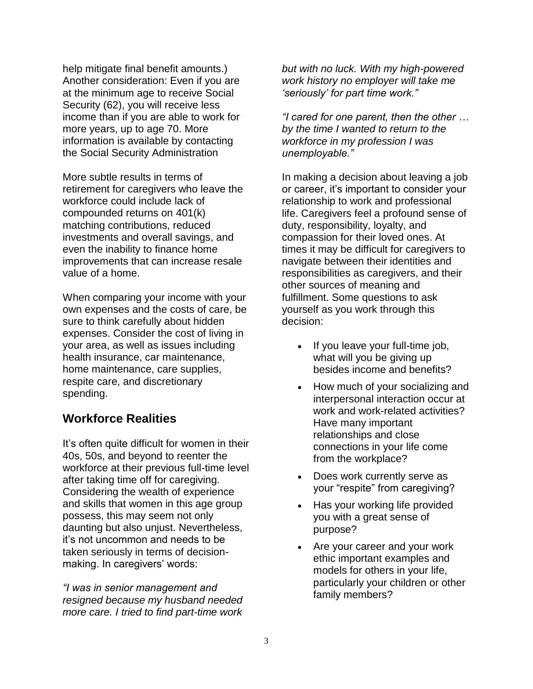help mitigate final benefit amounts.) Another consideration: Even if you are at the minimum age to receive Social Security (62), you will receive less income than if you are able to work for more years, up to age 70. More information is available by contacting the Social Security Administration

More subtle results in terms of retirement for caregivers who leave the workforce could include lack of compounded returns on 401(k) matching contributions, reduced investments and overall savings, and even the inability to finance home improvements that can increase resale value of a home.

When comparing your income with your own expenses and the costs of care, be sure to think carefully about hidden expenses. Consider the cost of living in your area, as well as issues including health insurance, car maintenance, home maintenance, care supplies, respite care, and discretionary spending.

#### **Workforce Realities**

It's often quite difficult for women in their 40s, 50s, and beyond to reenter the workforce at their previous full-time level after taking time off for caregiving. Considering the wealth of experience and skills that women in this age group possess, this may seem not only daunting but also unjust. Nevertheless, it's not uncommon and needs to be taken seriously in terms of decisionmaking. In caregivers' words:

*"I was in senior management and resigned because my husband needed more care. I tried to find part-time work* 

*but with no luck. With my high-powered work history no employer will take me 'seriously' for part time work."*

*"I cared for one parent, then the other … by the time I wanted to return to the workforce in my profession I was unemployable."*

In making a decision about leaving a job or career, it's important to consider your relationship to work and professional life. Caregivers feel a profound sense of duty, responsibility, loyalty, and compassion for their loved ones. At times it may be difficult for caregivers to navigate between their identities and responsibilities as caregivers, and their other sources of meaning and fulfillment. Some questions to ask yourself as you work through this decision:

- If you leave your full-time job, what will you be giving up besides income and benefits?
- How much of your socializing and interpersonal interaction occur at work and work-related activities? Have many important relationships and close connections in your life come from the workplace?
- Does work currently serve as your "respite" from caregiving?
- Has your working life provided you with a great sense of purpose?
- Are your career and your work ethic important examples and models for others in your life, particularly your children or other family members?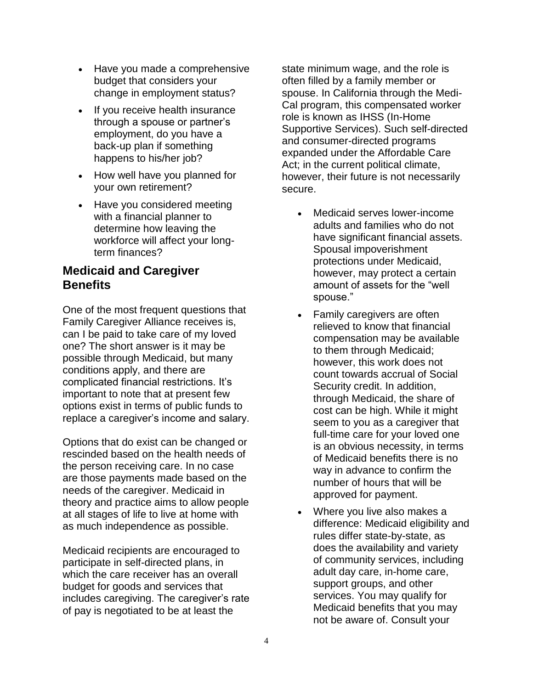- Have you made a comprehensive budget that considers your change in employment status?
- If you receive health insurance through a spouse or partner's employment, do you have a back-up plan if something happens to his/her job?
- How well have you planned for your own retirement?
- Have you considered meeting with a financial planner to determine how leaving the workforce will affect your longterm finances?

#### **Medicaid and Caregiver Benefits**

One of the most frequent questions that Family Caregiver Alliance receives is, can I be paid to take care of my loved one? The short answer is it may be possible through Medicaid, but many conditions apply, and there are complicated financial restrictions. It's important to note that at present few options exist in terms of public funds to replace a caregiver's income and salary.

Options that do exist can be changed or rescinded based on the health needs of the person receiving care. In no case are those payments made based on the needs of the caregiver. Medicaid in theory and practice aims to allow people at all stages of life to live at home with as much independence as possible.

Medicaid recipients are encouraged to participate in self-directed plans, in which the care receiver has an overall budget for goods and services that includes caregiving. The caregiver's rate of pay is negotiated to be at least the

state minimum wage, and the role is often filled by a family member or spouse. In California through the Medi-Cal program, this compensated worker role is known as IHSS (In-Home Supportive Services). Such self-directed and consumer-directed programs expanded under the Affordable Care Act; in the current political climate, however, their future is not necessarily secure.

- Medicaid serves lower-income adults and families who do not have significant financial assets. Spousal impoverishment protections under Medicaid, however, may protect a certain amount of assets for the "well spouse."
- Family caregivers are often relieved to know that financial compensation may be available to them through Medicaid; however, this work does not count towards accrual of Social Security credit. In addition, through Medicaid, the share of cost can be high. While it might seem to you as a caregiver that full-time care for your loved one is an obvious necessity, in terms of Medicaid benefits there is no way in advance to confirm the number of hours that will be approved for payment.
- Where you live also makes a difference: Medicaid eligibility and rules differ state-by-state, as does the availability and variety of community services, including adult day care, in-home care, support groups, and other services. You may qualify for Medicaid benefits that you may not be aware of. Consult your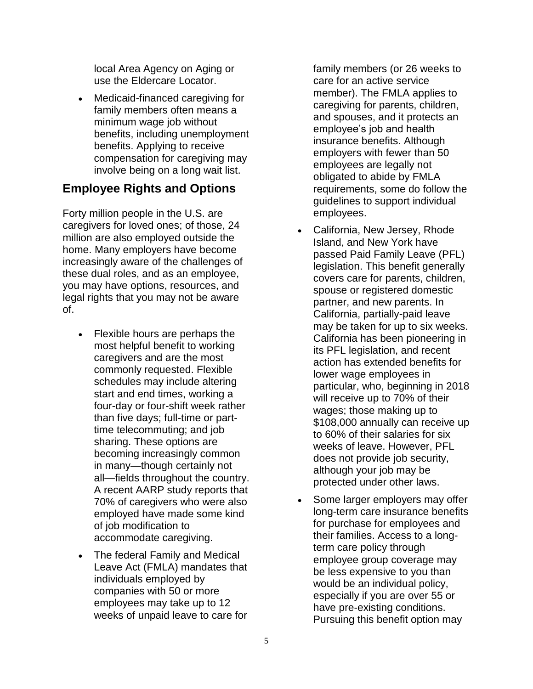local Area Agency on Aging or use the Eldercare Locator.

• Medicaid-financed caregiving for family members often means a minimum wage job without benefits, including unemployment benefits. Applying to receive compensation for caregiving may involve being on a long wait list.

## **Employee Rights and Options**

Forty million people in the U.S. are caregivers for loved ones; of those, 24 million are also employed outside the home. Many employers have become increasingly aware of the challenges of these dual roles, and as an employee, you may have options, resources, and legal rights that you may not be aware of.

- Flexible hours are perhaps the most helpful benefit to working caregivers and are the most commonly requested. Flexible schedules may include altering start and end times, working a four-day or four-shift week rather than five days; full-time or parttime telecommuting; and job sharing. These options are becoming increasingly common in many—though certainly not all—fields throughout the country. A recent AARP study reports that 70% of caregivers who were also employed have made some kind of job modification to accommodate caregiving.
- The federal Family and Medical Leave Act (FMLA) mandates that individuals employed by companies with 50 or more employees may take up to 12 weeks of unpaid leave to care for

family members (or 26 weeks to care for an active service member). The FMLA applies to caregiving for parents, children, and spouses, and it protects an employee's job and health insurance benefits. Although employers with fewer than 50 employees are legally not obligated to abide by FMLA requirements, some do follow the guidelines to support individual employees.

- California, New Jersey, Rhode Island, and New York have passed Paid Family Leave (PFL) legislation. This benefit generally covers care for parents, children, spouse or registered domestic partner, and new parents. In California, partially-paid leave may be taken for up to six weeks. California has been pioneering in its PFL legislation, and recent action has extended benefits for lower wage employees in particular, who, beginning in 2018 will receive up to 70% of their wages; those making up to \$108,000 annually can receive up to 60% of their salaries for six weeks of leave. However, PFL does not provide job security, although your job may be protected under other laws.
- Some larger employers may offer long-term care insurance benefits for purchase for employees and their families. Access to a longterm care policy through employee group coverage may be less expensive to you than would be an individual policy, especially if you are over 55 or have pre-existing conditions. Pursuing this benefit option may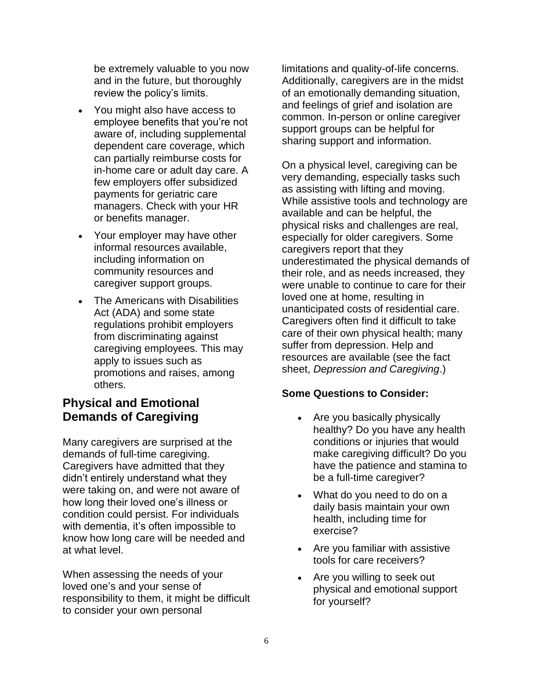be extremely valuable to you now and in the future, but thoroughly review the policy's limits.

- You might also have access to employee benefits that you're not aware of, including supplemental dependent care coverage, which can partially reimburse costs for in-home care or adult day care. A few employers offer subsidized payments for geriatric care managers. Check with your HR or benefits manager.
- Your employer may have other informal resources available, including information on community resources and caregiver support groups.
- The Americans with Disabilities Act (ADA) and some state regulations prohibit employers from discriminating against caregiving employees. This may apply to issues such as promotions and raises, among others.

## **Physical and Emotional Demands of Caregiving**

Many caregivers are surprised at the demands of full-time caregiving. Caregivers have admitted that they didn't entirely understand what they were taking on, and were not aware of how long their loved one's illness or condition could persist. For individuals with dementia, it's often impossible to know how long care will be needed and at what level.

When assessing the needs of your loved one's and your sense of responsibility to them, it might be difficult to consider your own personal

limitations and quality-of-life concerns. Additionally, caregivers are in the midst of an emotionally demanding situation, and feelings of grief and isolation are common. In-person or online caregiver support groups can be helpful for sharing support and information.

On a physical level, caregiving can be very demanding, especially tasks such as assisting with lifting and moving. While assistive tools and technology are available and can be helpful, the physical risks and challenges are real, especially for older caregivers. Some caregivers report that they underestimated the physical demands of their role, and as needs increased, they were unable to continue to care for their loved one at home, resulting in unanticipated costs of residential care. Caregivers often find it difficult to take care of their own physical health; many suffer from depression. Help and resources are available (see the fact sheet, *Depression and Caregiving*.)

#### **Some Questions to Consider:**

- Are you basically physically healthy? Do you have any health conditions or injuries that would make caregiving difficult? Do you have the patience and stamina to be a full-time caregiver?
- What do you need to do on a daily basis maintain your own health, including time for exercise?
- Are you familiar with assistive tools for care receivers?
- Are you willing to seek out physical and emotional support for yourself?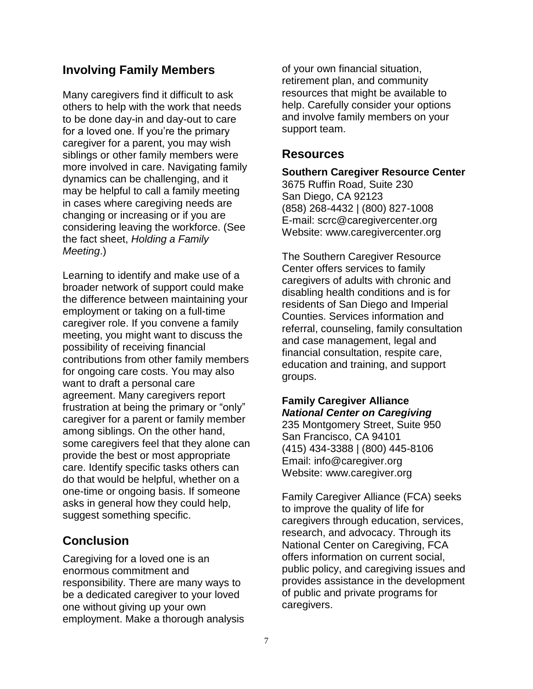#### **Involving Family Members**

Many caregivers find it difficult to ask others to help with the work that needs to be done day-in and day-out to care for a loved one. If you're the primary caregiver for a parent, you may wish siblings or other family members were more involved in care. Navigating family dynamics can be challenging, and it may be helpful to call a family meeting in cases where caregiving needs are changing or increasing or if you are considering leaving the workforce. (See the fact sheet, *Holding a Family Meeting*.)

Learning to identify and make use of a broader network of support could make the difference between maintaining your employment or taking on a full-time caregiver role. If you convene a family meeting, you might want to discuss the possibility of receiving financial contributions from other family members for ongoing care costs. You may also want to draft a personal care agreement. Many caregivers report frustration at being the primary or "only" caregiver for a parent or family member among siblings. On the other hand, some caregivers feel that they alone can provide the best or most appropriate care. Identify specific tasks others can do that would be helpful, whether on a one-time or ongoing basis. If someone asks in general how they could help, suggest something specific.

#### **Conclusion**

Caregiving for a loved one is an enormous commitment and responsibility. There are many ways to be a dedicated caregiver to your loved one without giving up your own employment. Make a thorough analysis of your own financial situation, retirement plan, and community resources that might be available to help. Carefully consider your options and involve family members on your support team.

#### **Resources**

**Southern Caregiver Resource Center** 3675 Ruffin Road, Suite 230 San Diego, CA 92123 (858) 268-4432 | (800) 827-1008 E-mail: scrc@caregivercenter.org Website: www.caregivercenter.org

The Southern Caregiver Resource Center offers services to family caregivers of adults with chronic and disabling health conditions and is for residents of San Diego and Imperial Counties. Services information and referral, counseling, family consultation and case management, legal and financial consultation, respite care, education and training, and support groups.

#### **Family Caregiver Alliance** *National Center on Caregiving*

235 Montgomery Street, Suite 950 San Francisco, CA 94101 (415) 434-3388 | (800) 445-8106 Email: info@caregiver.org Website: www.caregiver.org

Family Caregiver Alliance (FCA) seeks to improve the quality of life for caregivers through education, services, research, and advocacy. Through its National Center on Caregiving, FCA offers information on current social, public policy, and caregiving issues and provides assistance in the development of public and private programs for caregivers.